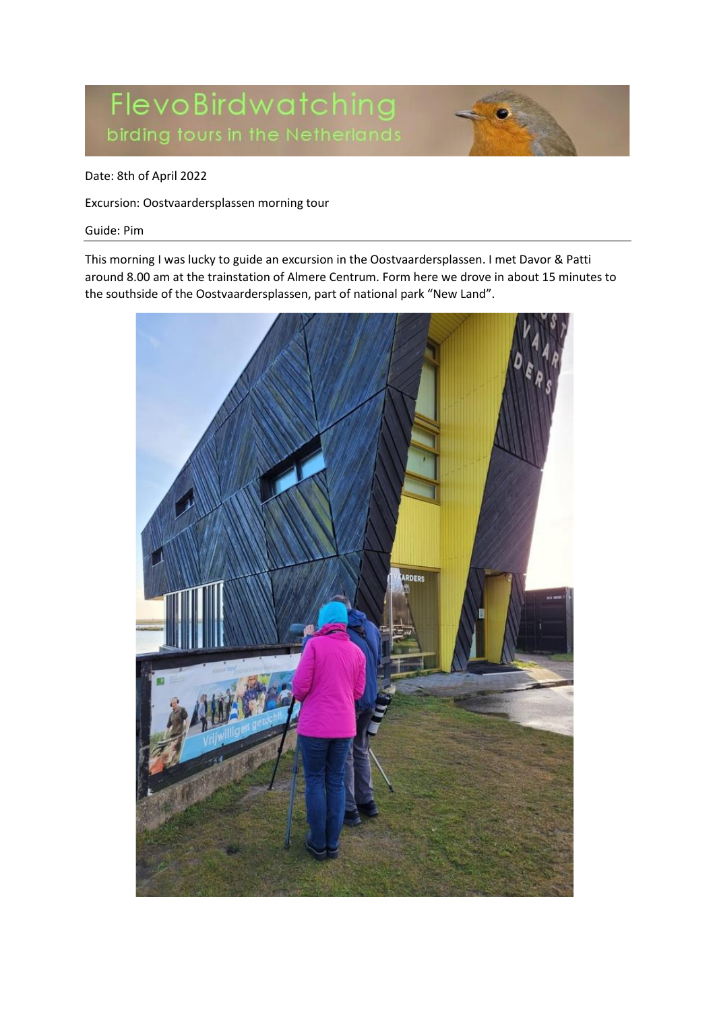# FlevoBirdwatching birding fours in the Netherlands

### Date: 8th of April 2022

Excursion: Oostvaardersplassen morning tour

#### Guide: Pim

This morning I was lucky to guide an excursion in the Oostvaardersplassen. I met Davor & Patti around 8.00 am at the trainstation of Almere Centrum. Form here we drove in about 15 minutes to the southside of the Oostvaardersplassen, part of national park "New Land".

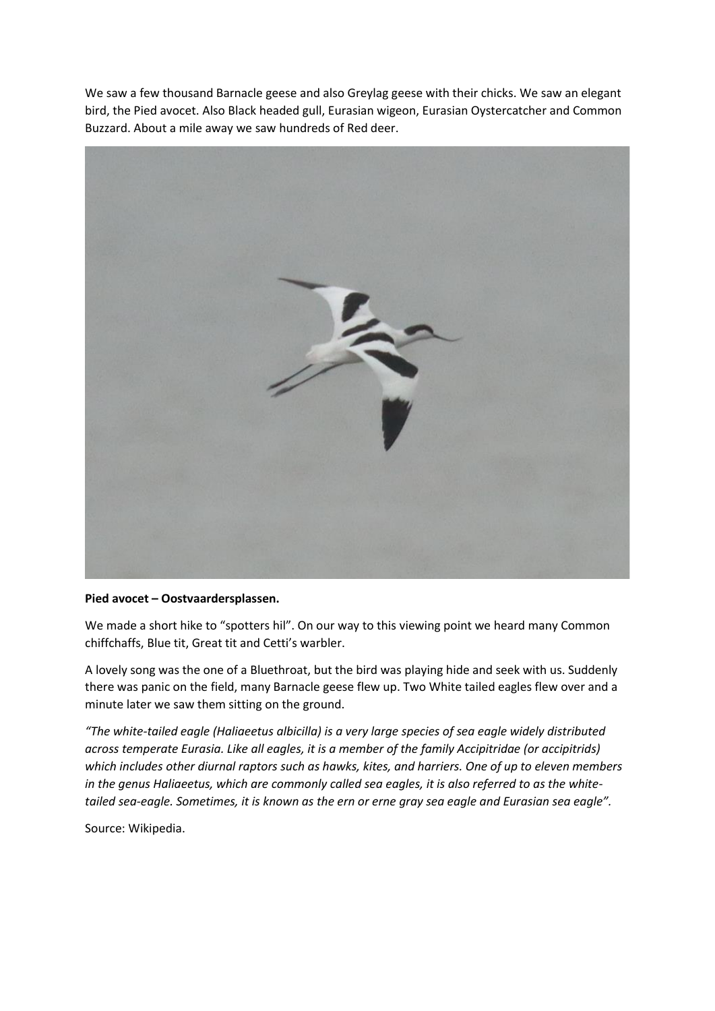We saw a few thousand Barnacle geese and also Greylag geese with their chicks. We saw an elegant bird, the Pied avocet. Also Black headed gull, Eurasian wigeon, Eurasian Oystercatcher and Common Buzzard. About a mile away we saw hundreds of Red deer.



#### **Pied avocet – Oostvaardersplassen.**

We made a short hike to "spotters hil". On our way to this viewing point we heard many Common chiffchaffs, Blue tit, Great tit and Cetti's warbler.

A lovely song was the one of a Bluethroat, but the bird was playing hide and seek with us. Suddenly there was panic on the field, many Barnacle geese flew up. Two White tailed eagles flew over and a minute later we saw them sitting on the ground.

*"The white-tailed eagle (Haliaeetus albicilla) is a very large species of sea eagle widely distributed across temperate Eurasia. Like all eagles, it is a member of the family Accipitridae (or accipitrids) which includes other diurnal raptors such as hawks, kites, and harriers. One of up to eleven members in the genus Haliaeetus, which are commonly called sea eagles, it is also referred to as the whitetailed sea-eagle. Sometimes, it is known as the ern or erne gray sea eagle and Eurasian sea eagle".*

Source: Wikipedia.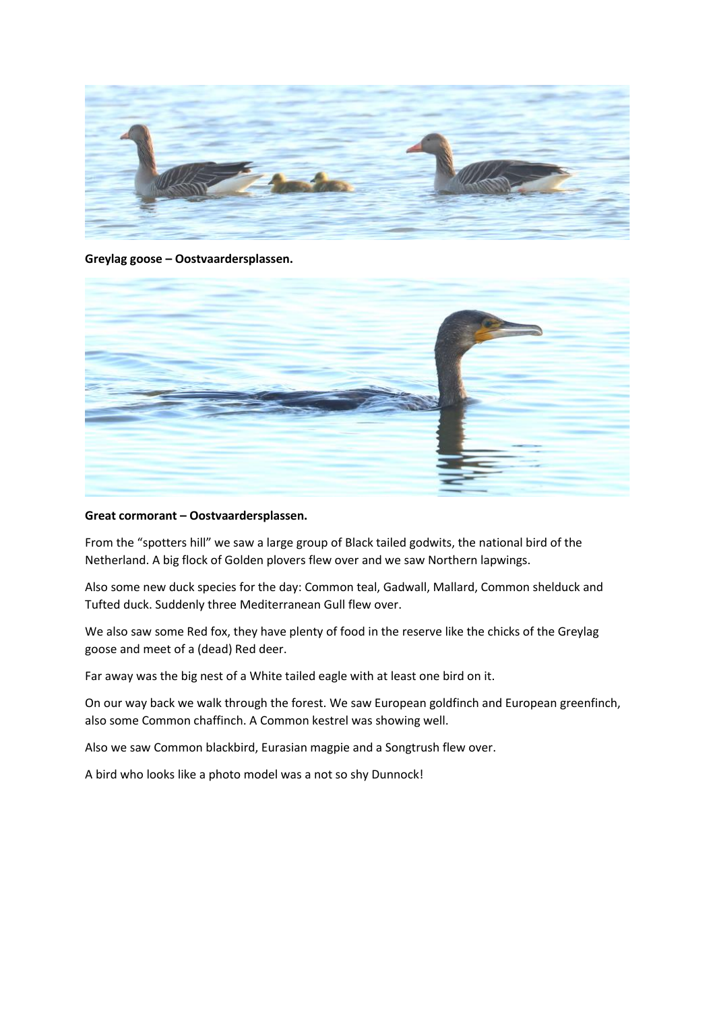

**Greylag goose – Oostvaardersplassen.**



#### **Great cormorant – Oostvaardersplassen.**

From the "spotters hill" we saw a large group of Black tailed godwits, the national bird of the Netherland. A big flock of Golden plovers flew over and we saw Northern lapwings.

Also some new duck species for the day: Common teal, Gadwall, Mallard, Common shelduck and Tufted duck. Suddenly three Mediterranean Gull flew over.

We also saw some Red fox, they have plenty of food in the reserve like the chicks of the Greylag goose and meet of a (dead) Red deer.

Far away was the big nest of a White tailed eagle with at least one bird on it.

On our way back we walk through the forest. We saw European goldfinch and European greenfinch, also some Common chaffinch. A Common kestrel was showing well.

Also we saw Common blackbird, Eurasian magpie and a Songtrush flew over.

A bird who looks like a photo model was a not so shy Dunnock!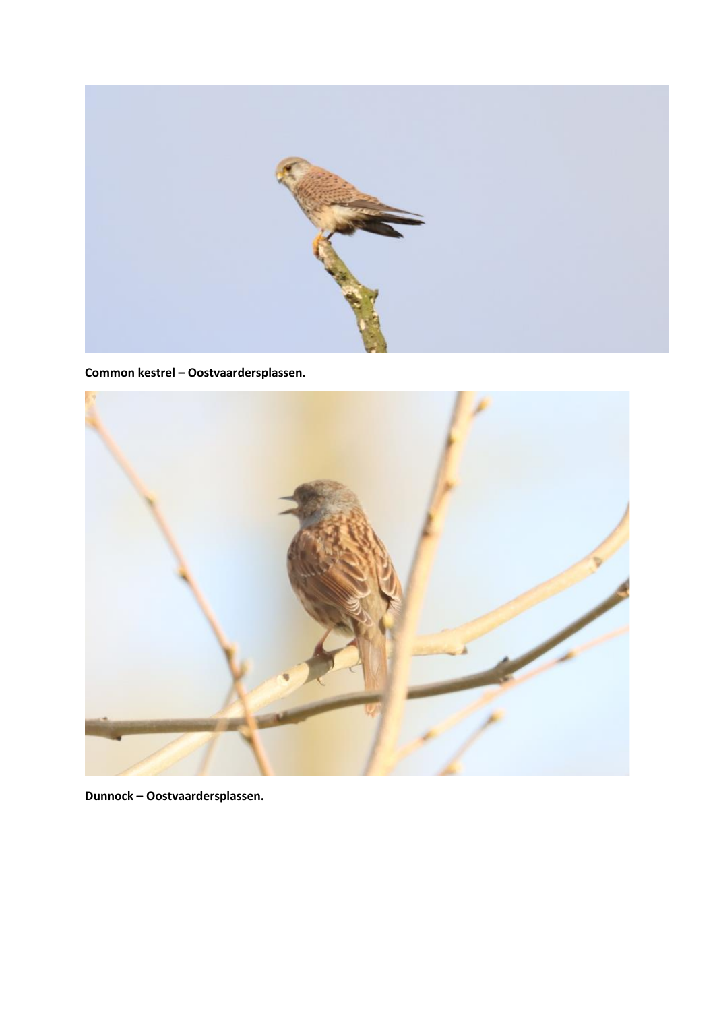

**Common kestrel – Oostvaardersplassen.**



**Dunnock – Oostvaardersplassen.**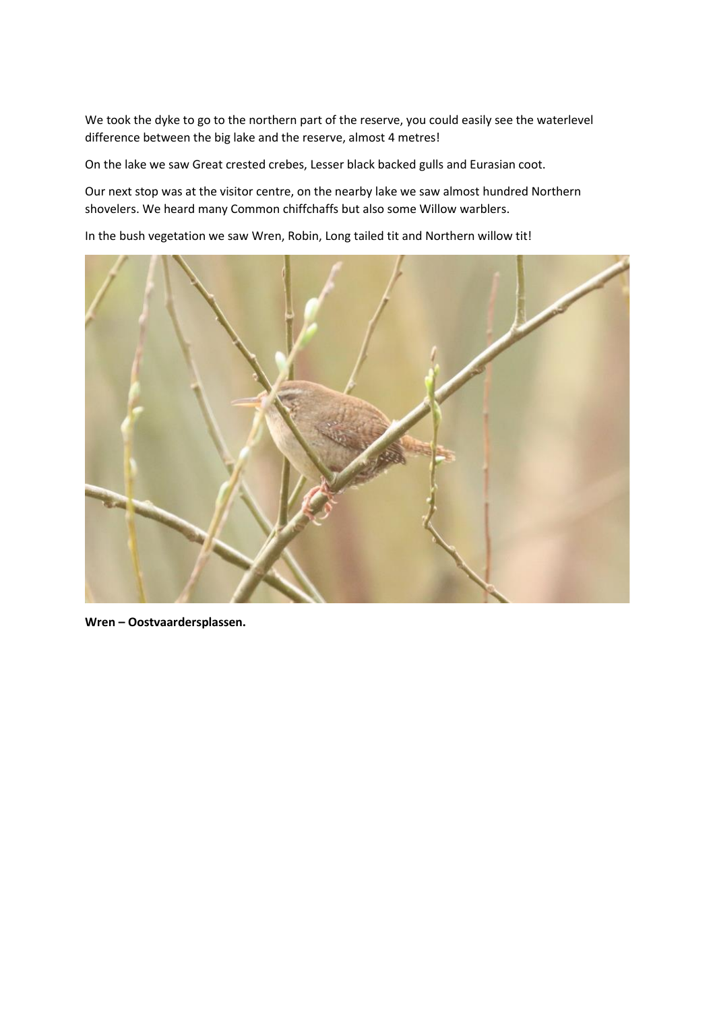We took the dyke to go to the northern part of the reserve, you could easily see the waterlevel difference between the big lake and the reserve, almost 4 metres!

On the lake we saw Great crested crebes, Lesser black backed gulls and Eurasian coot.

Our next stop was at the visitor centre, on the nearby lake we saw almost hundred Northern shovelers. We heard many Common chiffchaffs but also some Willow warblers.

In the bush vegetation we saw Wren, Robin, Long tailed tit and Northern willow tit!



**Wren – Oostvaardersplassen.**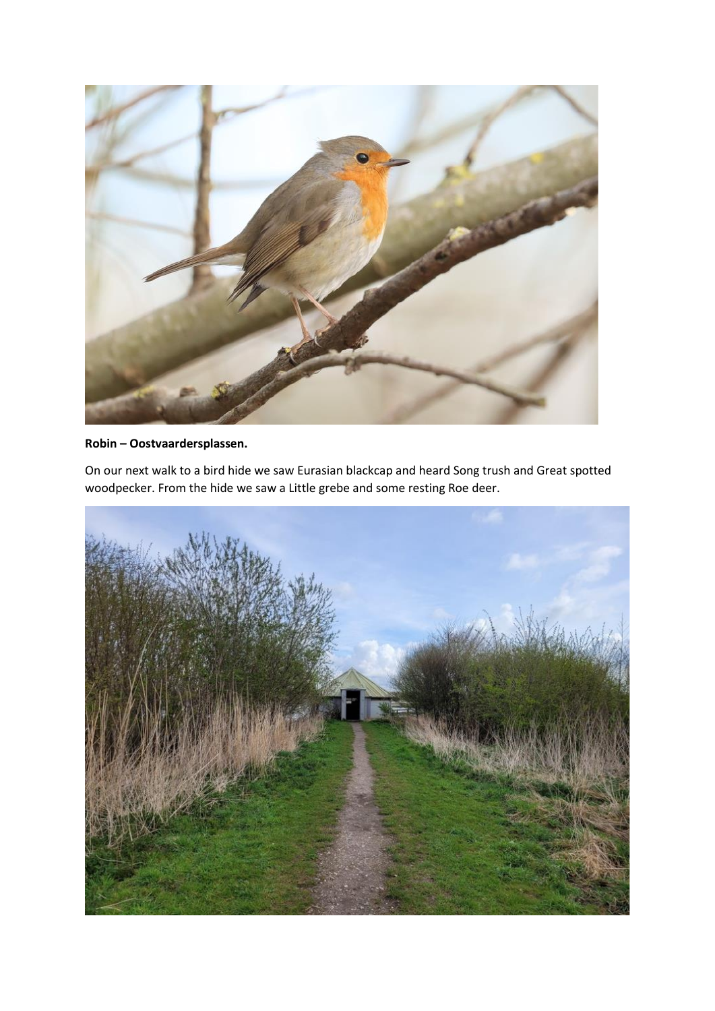

## **Robin – Oostvaardersplassen.**

On our next walk to a bird hide we saw Eurasian blackcap and heard Song trush and Great spotted woodpecker. From the hide we saw a Little grebe and some resting Roe deer.

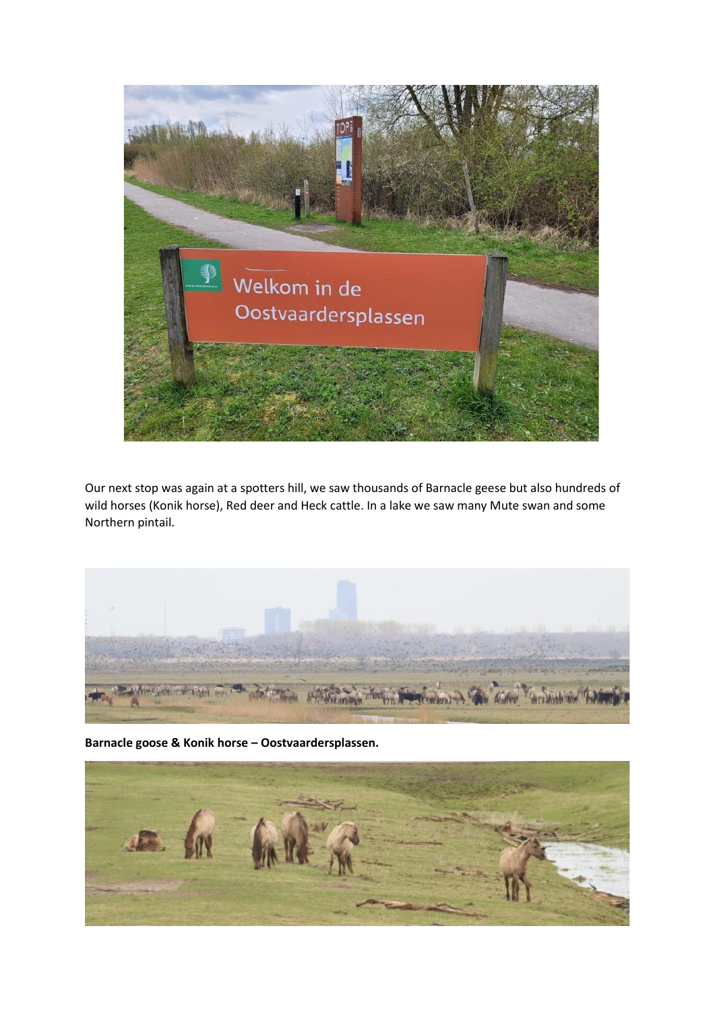

Our next stop was again at a spotters hill, we saw thousands of Barnacle geese but also hundreds of wild horses (Konik horse), Red deer and Heck cattle. In a lake we saw many Mute swan and some Northern pintail.



**Barnacle goose & Konik horse – Oostvaardersplassen.**

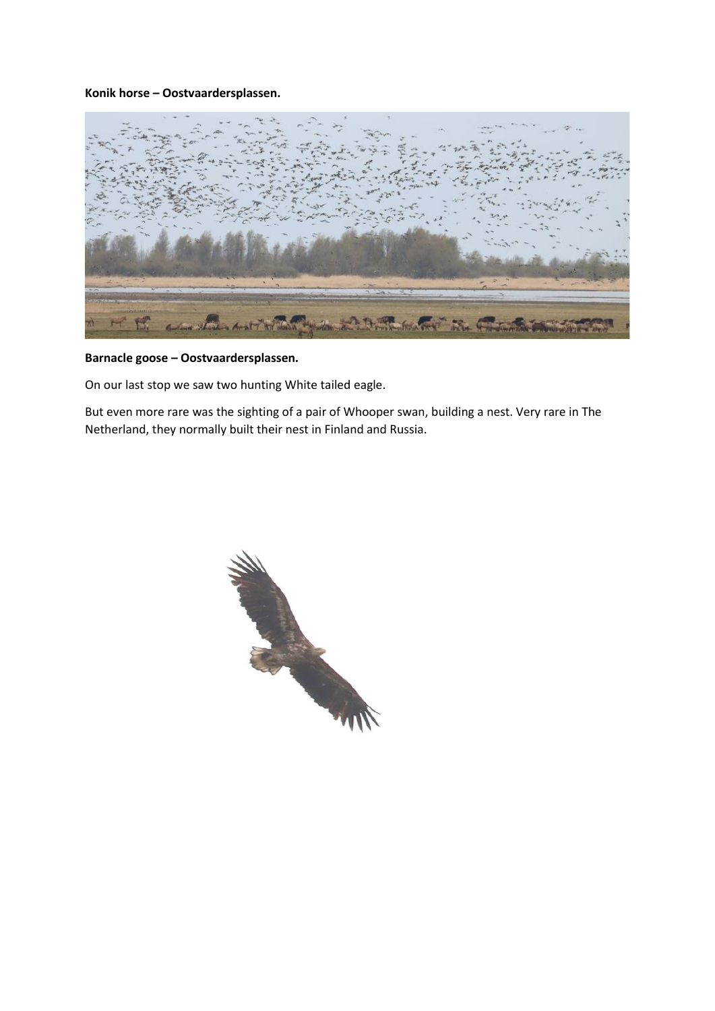#### **Konik horse – Oostvaardersplassen.**



# **Barnacle goose – Oostvaardersplassen.**

On our last stop we saw two hunting White tailed eagle.

But even more rare was the sighting of a pair of Whooper swan, building a nest. Very rare in The Netherland, they normally built their nest in Finland and Russia.